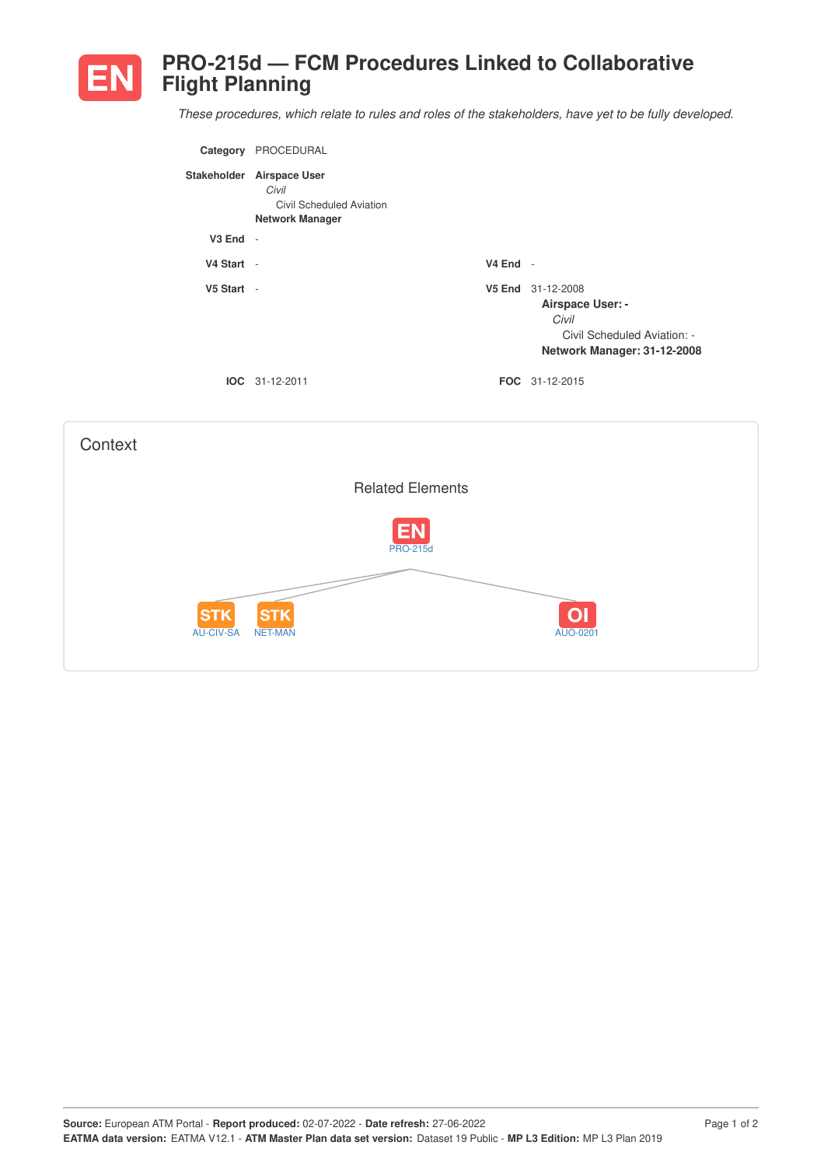

## **PRO-215d — FCM Procedures Linked to Collaborative Flight Planning**

*These procedures, which relate to rules and roles of the stakeholders, have yet to be fully developed.*

| Category     | PROCEDURAL                                                                               |            |                                                                                                                     |
|--------------|------------------------------------------------------------------------------------------|------------|---------------------------------------------------------------------------------------------------------------------|
|              | Stakeholder Airspace User<br>Civil<br>Civil Scheduled Aviation<br><b>Network Manager</b> |            |                                                                                                                     |
| $V3$ End $-$ |                                                                                          |            |                                                                                                                     |
| V4 Start -   |                                                                                          | $V4$ End - |                                                                                                                     |
| V5 Start -   |                                                                                          |            | V5 End 31-12-2008<br><b>Airspace User: -</b><br>Civil<br>Civil Scheduled Aviation: -<br>Network Manager: 31-12-2008 |
|              | $IOC 31-12-2011$                                                                         |            | <b>FOC</b> 31-12-2015                                                                                               |